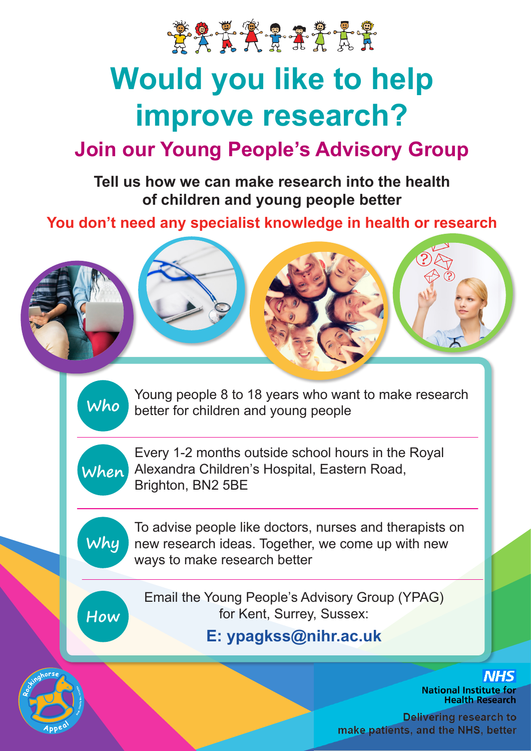

# **Would you like to help improve research?**

## **Join our Young People's Advisory Group**

**Tell us how we can make research into the health of children and young people better**

**You don't need any specialist knowledge in health or research** 



Young people 8 to 18 years who want to make research better for children and young people



**Who**

Every 1-2 months outside school hours in the Royal Alexandra Children's Hospital, Eastern Road, Brighton, BN2 5BE



To advise people like doctors, nurses and therapists on new research ideas. Together, we come up with new ways to make research better

**How**

Email the Young People's Advisory Group (YPAG) for Kent, Surrey, Sussex:

**E: ypagkss@nihr.ac.uk**



**Delivering research to make patients, and the NHS, better**